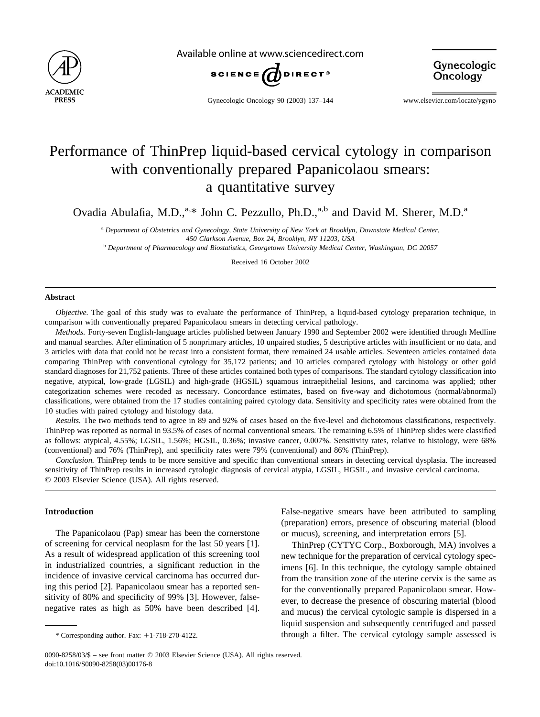

Available online at www.sciencedirect.com





Gynecologic Oncology 90 (2003) 137–144 www.elsevier.com/locate/ygyno

# Performance of ThinPrep liquid-based cervical cytology in comparison with conventionally prepared Papanicolaou smears: a quantitative survey

Ovadia Abulafia, M.D.,<sup>a,\*</sup> John C. Pezzullo, Ph.D.,<sup>a,b</sup> and David M. Sherer, M.D.<sup>a</sup>

<sup>a</sup> *Department of Obstetrics and Gynecology, State University of New York at Brooklyn, Downstate Medical Center, 450 Clarkson Avenue, Box 24, Brooklyn, NY 11203, USA*

<sup>b</sup> *Department of Pharmacology and Biostatistics, Georgetown University Medical Center, Washington, DC 20057*

Received 16 October 2002

#### **Abstract**

*Objective.* The goal of this study was to evaluate the performance of ThinPrep, a liquid-based cytology preparation technique, in comparison with conventionally prepared Papanicolaou smears in detecting cervical pathology.

*Methods.* Forty-seven English-language articles published between January 1990 and September 2002 were identified through Medline and manual searches. After elimination of 5 nonprimary articles, 10 unpaired studies, 5 descriptive articles with insufficient or no data, and 3 articles with data that could not be recast into a consistent format, there remained 24 usable articles. Seventeen articles contained data comparing ThinPrep with conventional cytology for 35,172 patients; and 10 articles compared cytology with histology or other gold standard diagnoses for 21,752 patients. Three of these articles contained both types of comparisons. The standard cytology classification into negative, atypical, low-grade (LGSIL) and high-grade (HGSIL) squamous intraepithelial lesions, and carcinoma was applied; other categorization schemes were recoded as necessary. Concordance estimates, based on five-way and dichotomous (normal/abnormal) classifications, were obtained from the 17 studies containing paired cytology data. Sensitivity and specificity rates were obtained from the 10 studies with paired cytology and histology data.

*Results.* The two methods tend to agree in 89 and 92% of cases based on the five-level and dichotomous classifications, respectively. ThinPrep was reported as normal in 93.5% of cases of normal conventional smears. The remaining 6.5% of ThinPrep slides were classified as follows: atypical, 4.55%; LGSIL, 1.56%; HGSIL, 0.36%; invasive cancer, 0.007%. Sensitivity rates, relative to histology, were 68% (conventional) and 76% (ThinPrep), and specificity rates were 79% (conventional) and 86% (ThinPrep).

*Conclusion.* ThinPrep tends to be more sensitive and specific than conventional smears in detecting cervical dysplasia. The increased sensitivity of ThinPrep results in increased cytologic diagnosis of cervical atypia, LGSIL, HGSIL, and invasive cervical carcinoma. © 2003 Elsevier Science (USA). All rights reserved.

## **Introduction**

The Papanicolaou (Pap) smear has been the cornerstone of screening for cervical neoplasm for the last 50 years [\[1\].](#page-6-0) As a result of widespread application of this screening tool in industrialized countries, a significant reduction in the incidence of invasive cervical carcinoma has occurred during this period [\[2\].](#page-6-0) Papanicolaou smear has a reported sensitivity of 80% and specificity of 99% [\[3\]](#page-6-0). However, falsenegative rates as high as 50% have been described [\[4\].](#page-6-0) False-negative smears have been attributed to sampling (preparation) errors, presence of obscuring material (blood or mucus), screening, and interpretation errors [\[5\].](#page-6-0)

ThinPrep (CYTYC Corp., Boxborough, MA) involves a new technique for the preparation of cervical cytology specimens [\[6\]](#page-6-0). In this technique, the cytology sample obtained from the transition zone of the uterine cervix is the same as for the conventionally prepared Papanicolaou smear. However, to decrease the presence of obscuring material (blood and mucus) the cervical cytologic sample is dispersed in a liquid suspension and subsequently centrifuged and passed \* Corresponding author. Fax: 1-718-270-4122. through a filter. The cervical cytology sample assessed is

<sup>0090-8258/03/\$ –</sup> see front matter © 2003 Elsevier Science (USA). All rights reserved. doi:10.1016/S0090-8258(03)00176-8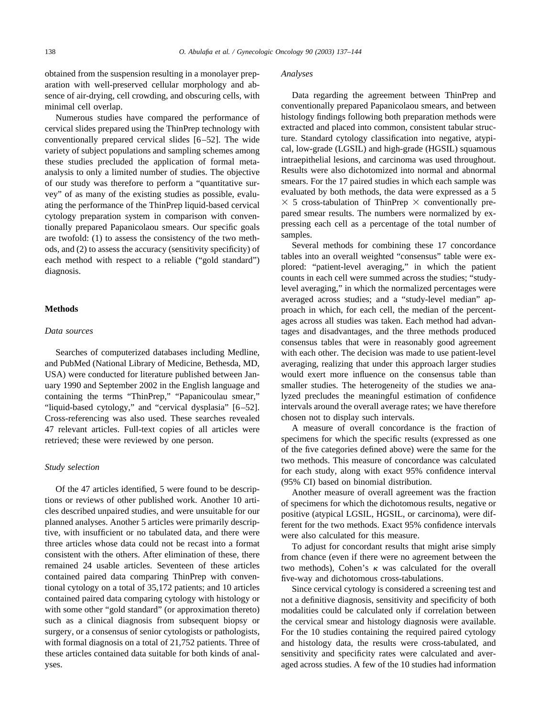obtained from the suspension resulting in a monolayer preparation with well-preserved cellular morphology and absence of air-drying, cell crowding, and obscuring cells, with minimal cell overlap.

Numerous studies have compared the performance of cervical slides prepared using the ThinPrep technology with conventionally prepared cervical slides [\[6–52\]](#page-6-0). The wide variety of subject populations and sampling schemes among these studies precluded the application of formal metaanalysis to only a limited number of studies. The objective of our study was therefore to perform a "quantitative survey" of as many of the existing studies as possible, evaluating the performance of the ThinPrep liquid-based cervical cytology preparation system in comparison with conventionally prepared Papanicolaou smears. Our specific goals are twofold: (1) to assess the consistency of the two methods, and (2) to assess the accuracy (sensitivity specificity) of each method with respect to a reliable ("gold standard") diagnosis.

#### **Methods**

## *Data sources*

Searches of computerized databases including Medline, and PubMed (National Library of Medicine, Bethesda, MD, USA) were conducted for literature published between January 1990 and September 2002 in the English language and containing the terms "ThinPrep," "Papanicoulau smear," "liquid-based cytology," and "cervical dysplasia" [\[6–52\].](#page-6-0) Cross-referencing was also used. These searches revealed 47 relevant articles. Full-text copies of all articles were retrieved; these were reviewed by one person.

## *Study selection*

Of the 47 articles identified, 5 were found to be descriptions or reviews of other published work. Another 10 articles described unpaired studies, and were unsuitable for our planned analyses. Another 5 articles were primarily descriptive, with insufficient or no tabulated data, and there were three articles whose data could not be recast into a format consistent with the others. After elimination of these, there remained 24 usable articles. Seventeen of these articles contained paired data comparing ThinPrep with conventional cytology on a total of 35,172 patients; and 10 articles contained paired data comparing cytology with histology or with some other "gold standard" (or approximation thereto) such as a clinical diagnosis from subsequent biopsy or surgery, or a consensus of senior cytologists or pathologists, with formal diagnosis on a total of 21,752 patients. Three of these articles contained data suitable for both kinds of analyses.

#### *Analyses*

Data regarding the agreement between ThinPrep and conventionally prepared Papanicolaou smears, and between histology findings following both preparation methods were extracted and placed into common, consistent tabular structure. Standard cytology classification into negative, atypical, low-grade (LGSIL) and high-grade (HGSIL) squamous intraepithelial lesions, and carcinoma was used throughout. Results were also dichotomized into normal and abnormal smears. For the 17 paired studies in which each sample was evaluated by both methods, the data were expressed as a 5  $\times$  5 cross-tabulation of ThinPrep  $\times$  conventionally prepared smear results. The numbers were normalized by expressing each cell as a percentage of the total number of samples.

Several methods for combining these 17 concordance tables into an overall weighted "consensus" table were explored: "patient-level averaging," in which the patient counts in each cell were summed across the studies; "studylevel averaging," in which the normalized percentages were averaged across studies; and a "study-level median" approach in which, for each cell, the median of the percentages across all studies was taken. Each method had advantages and disadvantages, and the three methods produced consensus tables that were in reasonably good agreement with each other. The decision was made to use patient-level averaging, realizing that under this approach larger studies would exert more influence on the consensus table than smaller studies. The heterogeneity of the studies we analyzed precludes the meaningful estimation of confidence intervals around the overall average rates; we have therefore chosen not to display such intervals.

A measure of overall concordance is the fraction of specimens for which the specific results (expressed as one of the five categories defined above) were the same for the two methods. This measure of concordance was calculated for each study, along with exact 95% confidence interval (95% CI) based on binomial distribution.

Another measure of overall agreement was the fraction of specimens for which the dichotomous results, negative or positive (atypical LGSIL, HGSIL, or carcinoma), were different for the two methods. Exact 95% confidence intervals were also calculated for this measure.

To adjust for concordant results that might arise simply from chance (even if there were no agreement between the two methods), Cohen's  $\kappa$  was calculated for the overall five-way and dichotomous cross-tabulations.

Since cervical cytology is considered a screening test and not a definitive diagnosis, sensitivity and specificity of both modalities could be calculated only if correlation between the cervical smear and histology diagnosis were available. For the 10 studies containing the required paired cytology and histology data, the results were cross-tabulated, and sensitivity and specificity rates were calculated and averaged across studies. A few of the 10 studies had information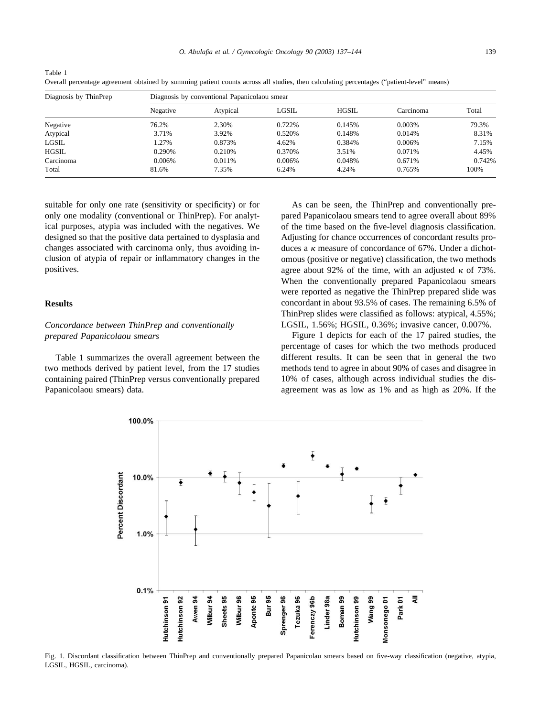*O. Abulafia et al. / Gynecologic Oncology 90 (2003) 137–144* 139

| Diagnosis by ThinPrep | Diagnosis by conventional Papanicolaou smear |          |        |              |           |        |
|-----------------------|----------------------------------------------|----------|--------|--------------|-----------|--------|
|                       | Negative                                     | Atypical | LGSIL  | <b>HGSIL</b> | Carcinoma | Total  |
| Negative              | 76.2%                                        | 2.30%    | 0.722% | 0.145%       | 0.003%    | 79.3%  |
| Atypical              | 3.71%                                        | 3.92%    | 0.520% | 0.148%       | 0.014%    | 8.31%  |
| LGSIL                 | .27%                                         | 0.873%   | 4.62%  | 0.384%       | 0.006%    | 7.15%  |
| HGSIL                 | 0.290\%                                      | 0.210\%  | 0.370% | 3.51%        | 0.071%    | 4.45%  |
| Carcinoma             | 0.006%                                       | 0.011%   | 0.006% | 0.048%       | 0.671%    | 0.742% |
| Total                 | 81.6%                                        | 7.35%    | 6.24%  | 4.24%        | 0.765%    | 100%   |

Table 1 Overall percentage agreement obtained by summing patient counts across all studies, then calculating percentages ("patient-level" means)

suitable for only one rate (sensitivity or specificity) or for only one modality (conventional or ThinPrep). For analytical purposes, atypia was included with the negatives. We designed so that the positive data pertained to dysplasia and changes associated with carcinoma only, thus avoiding inclusion of atypia of repair or inflammatory changes in the positives.

#### **Results**

## *Concordance between ThinPrep and conventionally prepared Papanicolaou smears*

Table 1 summarizes the overall agreement between the two methods derived by patient level, from the 17 studies containing paired (ThinPrep versus conventionally prepared Papanicolaou smears) data.

As can be seen, the ThinPrep and conventionally prepared Papanicolaou smears tend to agree overall about 89% of the time based on the five-level diagnosis classification. Adjusting for chance occurrences of concordant results produces a  $\kappa$  measure of concordance of 67%. Under a dichotomous (positive or negative) classification, the two methods agree about 92% of the time, with an adjusted  $\kappa$  of 73%. When the conventionally prepared Papanicolaou smears were reported as negative the ThinPrep prepared slide was concordant in about 93.5% of cases. The remaining 6.5% of ThinPrep slides were classified as follows: atypical, 4.55%; LGSIL, 1.56%; HGSIL, 0.36%; invasive cancer, 0.007%.

Figure 1 depicts for each of the 17 paired studies, the percentage of cases for which the two methods produced different results. It can be seen that in general the two methods tend to agree in about 90% of cases and disagree in 10% of cases, although across individual studies the disagreement was as low as 1% and as high as 20%. If the



Fig. 1. Discordant classification between ThinPrep and conventionally prepared Papanicolau smears based on five-way classification (negative, atypia, LGSIL, HGSIL, carcinoma).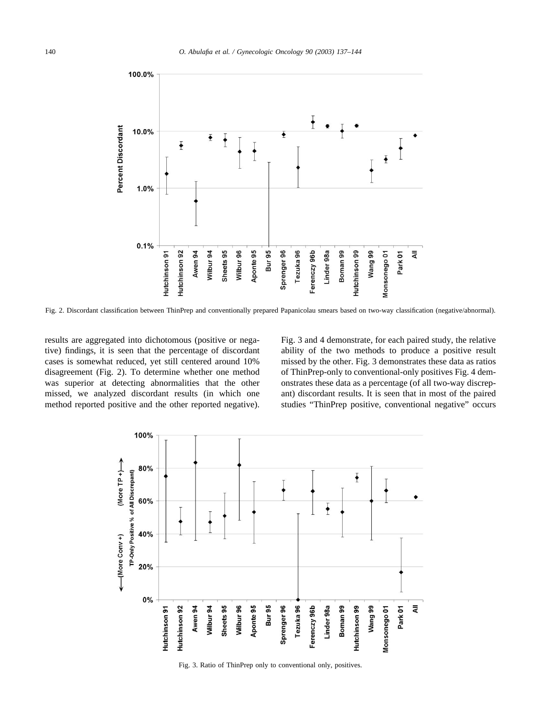

Fig. 2. Discordant classification between ThinPrep and conventionally prepared Papanicolau smears based on two-way classification (negative/abnormal).

results are aggregated into dichotomous (positive or negative) findings, it is seen that the percentage of discordant cases is somewhat reduced, yet still centered around 10% disagreement (Fig. 2). To determine whether one method was superior at detecting abnormalities that the other missed, we analyzed discordant results (in which one method reported positive and the other reported negative). Fig. 3 and 4 demonstrate, for each paired study, the relative ability of the two methods to produce a positive result missed by the other. Fig. 3 demonstrates these data as ratios of ThinPrep-only to conventional-only positives [Fig. 4](#page-4-0) demonstrates these data as a percentage (of all two-way discrepant) discordant results. It is seen that in most of the paired studies "ThinPrep positive, conventional negative" occurs



Fig. 3. Ratio of ThinPrep only to conventional only, positives.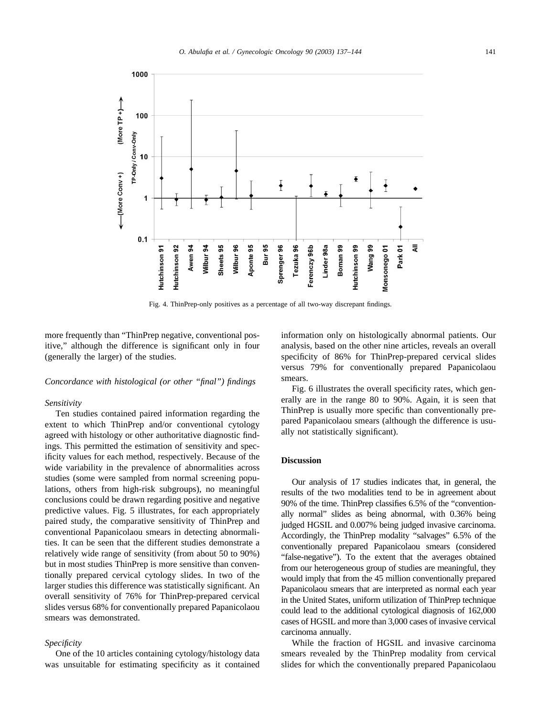<span id="page-4-0"></span>

Fig. 4. ThinPrep-only positives as a percentage of all two-way discrepant findings.

more frequently than "ThinPrep negative, conventional positive," although the difference is significant only in four (generally the larger) of the studies.

#### *Concordance with histological (or other "final") findings*

#### *Sensitivity*

Ten studies contained paired information regarding the extent to which ThinPrep and/or conventional cytology agreed with histology or other authoritative diagnostic findings. This permitted the estimation of sensitivity and specificity values for each method, respectively. Because of the wide variability in the prevalence of abnormalities across studies (some were sampled from normal screening populations, others from high-risk subgroups), no meaningful conclusions could be drawn regarding positive and negative predictive values. [Fig. 5](#page-5-0) illustrates, for each appropriately paired study, the comparative sensitivity of ThinPrep and conventional Papanicolaou smears in detecting abnormalities. It can be seen that the different studies demonstrate a relatively wide range of sensitivity (from about 50 to 90%) but in most studies ThinPrep is more sensitive than conventionally prepared cervical cytology slides. In two of the larger studies this difference was statistically significant. An overall sensitivity of 76% for ThinPrep-prepared cervical slides versus 68% for conventionally prepared Papanicolaou smears was demonstrated.

#### *Specificity*

One of the 10 articles containing cytology/histology data was unsuitable for estimating specificity as it contained information only on histologically abnormal patients. Our analysis, based on the other nine articles, reveals an overall specificity of 86% for ThinPrep-prepared cervical slides versus 79% for conventionally prepared Papanicolaou smears.

[Fig. 6](#page-5-0) illustrates the overall specificity rates, which generally are in the range 80 to 90%. Again, it is seen that ThinPrep is usually more specific than conventionally prepared Papanicolaou smears (although the difference is usually not statistically significant).

## **Discussion**

Our analysis of 17 studies indicates that, in general, the results of the two modalities tend to be in agreement about 90% of the time. ThinPrep classifies 6.5% of the "conventionally normal" slides as being abnormal, with 0.36% being judged HGSIL and 0.007% being judged invasive carcinoma. Accordingly, the ThinPrep modality "salvages" 6.5% of the conventionally prepared Papanicolaou smears (considered "false-negative"). To the extent that the averages obtained from our heterogeneous group of studies are meaningful, they would imply that from the 45 million conventionally prepared Papanicolaou smears that are interpreted as normal each year in the United States, uniform utilization of ThinPrep technique could lead to the additional cytological diagnosis of 162,000 cases of HGSIL and more than 3,000 cases of invasive cervical carcinoma annually.

While the fraction of HGSIL and invasive carcinoma smears revealed by the ThinPrep modality from cervical slides for which the conventionally prepared Papanicolaou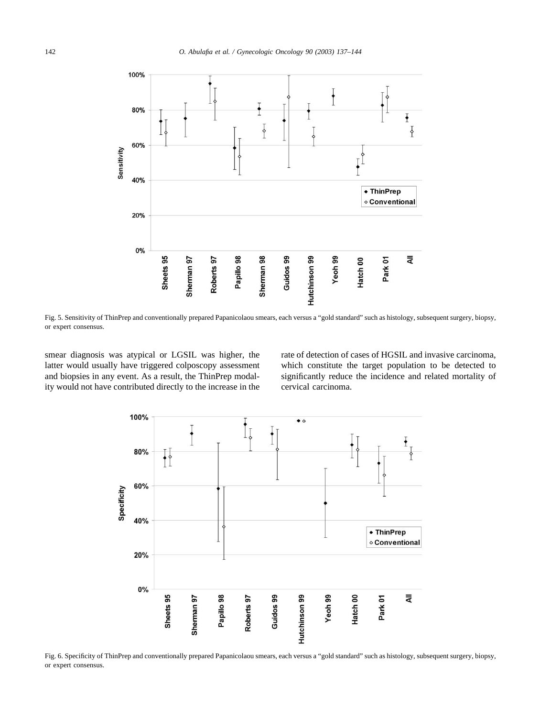<span id="page-5-0"></span>

Fig. 5. Sensitivity of ThinPrep and conventionally prepared Papanicolaou smears, each versus a "gold standard" such as histology, subsequent surgery, biopsy, or expert consensus.

smear diagnosis was atypical or LGSIL was higher, the latter would usually have triggered colposcopy assessment and biopsies in any event. As a result, the ThinPrep modality would not have contributed directly to the increase in the rate of detection of cases of HGSIL and invasive carcinoma, which constitute the target population to be detected to significantly reduce the incidence and related mortality of cervical carcinoma.



Fig. 6. Specificity of ThinPrep and conventionally prepared Papanicolaou smears, each versus a "gold standard" such as histology, subsequent surgery, biopsy, or expert consensus.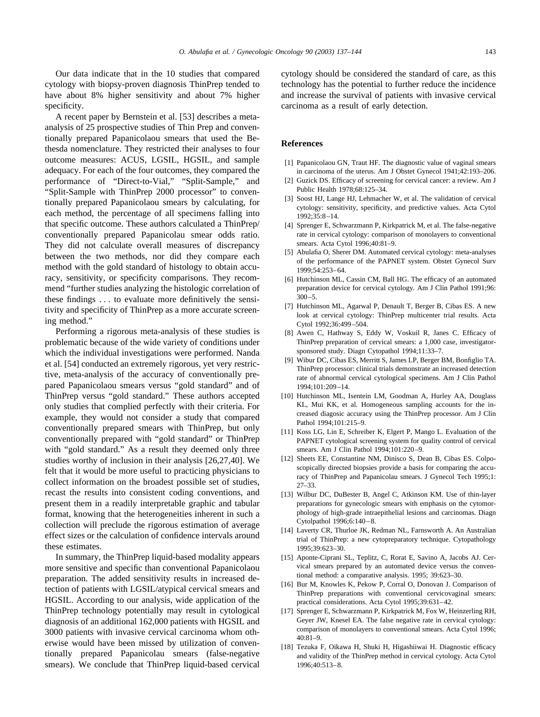<span id="page-6-0"></span>Our data indicate that in the 10 studies that compared cytology with biopsy-proven diagnosis ThinPrep tended to have about 8% higher sensitivity and about 7% higher specificity.

A recent paper by Bernstein et al. [\[53\]](#page-7-0) describes a metaanalysis of 25 prospective studies of Thin Prep and conventionally prepared Papanicolaou smears that used the Bethesda nomenclature. They restricted their analyses to four outcome measures: ACUS, LGSIL, HGSIL, and sample adequacy. For each of the four outcomes, they compared the performance of "Direct-to-Vial," "Split-Sample," and "Split-Sample with ThinPrep 2000 processor" to conventionally prepared Papanicolaou smears by calculating, for each method, the percentage of all specimens falling into that specific outcome. These authors calculated a ThinPrep/ conventionally prepared Papanicolau smear odds ratio. They did not calculate overall measures of discrepancy between the two methods, nor did they compare each method with the gold standard of histology to obtain accuracy, sensitivity, or specificity comparisons. They recommend "further studies analyzing the histologic correlation of these findings . . . to evaluate more definitively the sensitivity and specificity of ThinPrep as a more accurate screening method."

Performing a rigorous meta-analysis of these studies is problematic because of the wide variety of conditions under which the individual investigations were performed. Nanda et al. [\[54\]](#page-7-0) conducted an extremely rigorous, yet very restrictive, meta-analysis of the accuracy of conventionally prepared Papanicolaou smears versus "gold standard" and of ThinPrep versus "gold standard." These authors accepted only studies that complied perfectly with their criteria. For example, they would not consider a study that compared conventionally prepared smears with ThinPrep, but only conventionally prepared with "gold standard" or ThinPrep with "gold standard." As a result they deemed only three studies worthy of inclusion in their analysis [\[26,27,40\].](#page-7-0) We felt that it would be more useful to practicing physicians to collect information on the broadest possible set of studies, recast the results into consistent coding conventions, and present them in a readily interpretable graphic and tabular format, knowing that the heterogeneities inherent in such a collection will preclude the rigorous estimation of average effect sizes or the calculation of confidence intervals around these estimates.

In summary, the ThinPrep liquid-based modality appears more sensitive and specific than conventional Papanicolaou preparation. The added sensitivity results in increased detection of patients with LGSIL/atypical cervical smears and HGSIL. According to our analysis, wide application of the ThinPrep technology potentially may result in cytological diagnosis of an additional 162,000 patients with HGSIL and 3000 patients with invasive cervical carcinoma whom otherwise would have been missed by utilization of conventionally prepared Papanicolau smears (false-negative smears). We conclude that ThinPrep liquid-based cervical cytology should be considered the standard of care, as this technology has the potential to further reduce the incidence and increase the survival of patients with invasive cervical carcinoma as a result of early detection.

#### **References**

- [1] Papanicolaou GN, Traut HF. The diagnostic value of vaginal smears in carcinoma of the uterus. Am J Obstet Gynecol 1941;42:193–206.
- [2] Guzick DS. Efficacy of screening for cervical cancer: a review. Am J Public Health 1978;68:125–34.
- [3] Soost HJ, Lange HJ, Lehmacher W, et al. The validation of cervical cytology: sensitivity, specificity, and predictive values. Acta Cytol 1992;35:8–14.
- [4] Sprenger E, Schwarzmann P, Kirkpatrick M, et al. The false-negative rate in cervical cytology: comparison of monolayers to conventional smears. Acta Cytol 1996;40:81–9.
- [5] Abulafia O, Sherer DM. Automated cervical cytology: meta-analyses of the performance of the PAPNET system. Obstet Gynecol Surv 1999;54:253–64.
- [6] Hutchinson ML, Cassin CM, Ball HG. The efficacy of an automated preparation device for cervical cytology. Am J Clin Pathol 1991;96:  $300 - 5$ .
- [7] Hutchinson ML, Agarwal P, Denault T, Berger B, Cibas ES. A new look at cervical cytology: ThinPrep multicenter trial results. Acta Cytol 1992;36:499–504.
- [8] Awen C, Hathway S, Eddy W, Voskuil R, Janes C. Efficacy of ThinPrep preparation of cervical smears: a 1,000 case, investigatorsponsored study. Diagn Cytopathol 1994;11:33–7.
- [9] Wibur DC, Cibas ES, Merritt S, James LP, Berger BM, Bonfiglio TA. ThinPrep processor: clinical trials demonstrate an increased detection rate of abnormal cervical cytological specimens. Am J Clin Pathol 1994;101:209–14.
- [10] Hutchinson ML, Isentein LM, Goodman A, Hurley AA, Douglass KL, Mui KK, et al. Homogeneous sampling accounts for the increased diagosic accuracy using the ThinPrep processor. Am J Clin Pathol 1994;101:215–9.
- [11] Koss LG, Lin E, Schreiber K, Elgert P, Mango L. Evaluation of the PAPNET cytological screening system for quality control of cervical smears. Am J Clin Pathol 1994;101:220–9.
- [12] Sheets EE, Constantine NM, Dinisco S, Dean B, Cibas ES. Colposcopically directed biopsies provide a basis for comparing the accuracy of ThinPrep and Papanicolau smears. J Gynecol Tech 1995;1: 27–33.
- [13] Wilbur DC, DuBester B, Angel C, Atkinson KM. Use of thin-layer preparations for gynecologic smears with emphasis on the cytomorphology of high-grade intraepithelial lesions and carcinomas. Diagn Cytolpathol 1996;6:140–8.
- [14] Laverty CR, Thurloe JK, Redman NL, Farnsworth A. An Australian trial of ThinPrep: a new cytopreparatory technique. Cytopathology 1995;39:623–30.
- [15] Aponte-Ciprani SL, Teplitz, C, Rorat E, Savino A, Jacobs AJ. Cervical smears prepared by an automated device versus the conventional method: a comparative analysis. 1995; 39:623–30.
- [16] Bur M, Knowles K, Pekow P, Corral O, Donovan J. Comparison of ThinPrep preparations with conventional cervicovaginal smears: practical considerations. Acta Cytol 1995;39:631–42.
- [17] Sprenger E, Schwarzmann P, Kirkpatrick M, Fox W, Heinzerling RH, Geyer JW, Knesel EA. The false negative rate in cervical cytology: comparison of monolayers to conventional smears. Acta Cytol 1996; 40:81–9.
- [18] Tezuka F, Oikawa H, Shuki H, Higashiiwai H. Diagnostic efficacy and validity of the ThinPrep method in cervical cytology. Acta Cytol 1996;40:513–8.